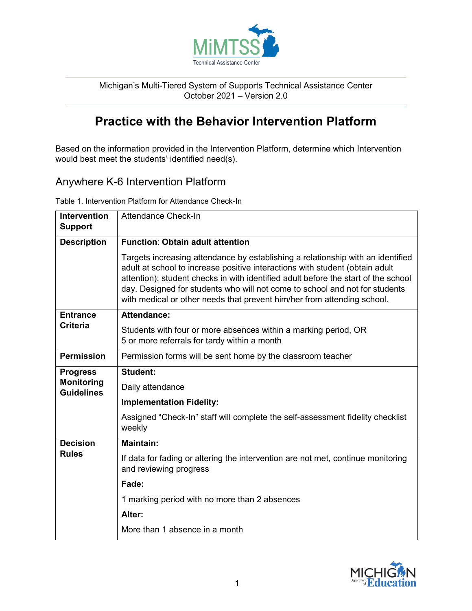

Michigan's Multi-Tiered System of Supports Technical Assistance Center October 2021 – Version 2.0

# **Practice with the Behavior Intervention Platform**

Based on the information provided in the Intervention Platform, determine which Intervention would best meet the students' identified need(s).

# Anywhere K-6 Intervention Platform

Table 1. Intervention Platform for Attendance Check-In

| <b>Intervention</b><br><b>Support</b>                     | <b>Attendance Check-In</b>                                                                                                                                                                                                                                                                                                                                                                                      |
|-----------------------------------------------------------|-----------------------------------------------------------------------------------------------------------------------------------------------------------------------------------------------------------------------------------------------------------------------------------------------------------------------------------------------------------------------------------------------------------------|
| <b>Description</b>                                        | <b>Function: Obtain adult attention</b>                                                                                                                                                                                                                                                                                                                                                                         |
|                                                           | Targets increasing attendance by establishing a relationship with an identified<br>adult at school to increase positive interactions with student (obtain adult<br>attention); student checks in with identified adult before the start of the school<br>day. Designed for students who will not come to school and not for students<br>with medical or other needs that prevent him/her from attending school. |
| <b>Entrance</b><br><b>Criteria</b>                        | <b>Attendance:</b>                                                                                                                                                                                                                                                                                                                                                                                              |
|                                                           | Students with four or more absences within a marking period, OR<br>5 or more referrals for tardy within a month                                                                                                                                                                                                                                                                                                 |
| <b>Permission</b>                                         | Permission forms will be sent home by the classroom teacher                                                                                                                                                                                                                                                                                                                                                     |
| <b>Progress</b><br><b>Monitoring</b><br><b>Guidelines</b> | <b>Student:</b>                                                                                                                                                                                                                                                                                                                                                                                                 |
|                                                           | Daily attendance                                                                                                                                                                                                                                                                                                                                                                                                |
|                                                           | <b>Implementation Fidelity:</b>                                                                                                                                                                                                                                                                                                                                                                                 |
|                                                           | Assigned "Check-In" staff will complete the self-assessment fidelity checklist<br>weekly                                                                                                                                                                                                                                                                                                                        |
| <b>Decision</b><br><b>Rules</b>                           | <b>Maintain:</b>                                                                                                                                                                                                                                                                                                                                                                                                |
|                                                           | If data for fading or altering the intervention are not met, continue monitoring<br>and reviewing progress                                                                                                                                                                                                                                                                                                      |
|                                                           | Fade:                                                                                                                                                                                                                                                                                                                                                                                                           |
|                                                           | 1 marking period with no more than 2 absences                                                                                                                                                                                                                                                                                                                                                                   |
|                                                           | Alter:                                                                                                                                                                                                                                                                                                                                                                                                          |
|                                                           | More than 1 absence in a month                                                                                                                                                                                                                                                                                                                                                                                  |

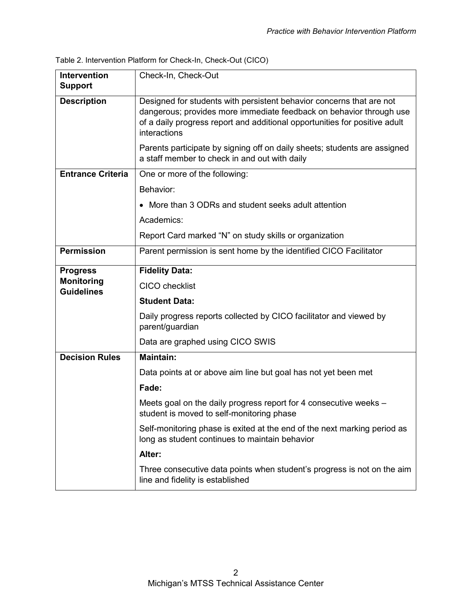| Table 2. Intervention Platform for Check-In, Check-Out (CICO) |  |  |
|---------------------------------------------------------------|--|--|
|                                                               |  |  |

| Intervention<br><b>Support</b>         | Check-In, Check-Out                                                                                                                                                                                                                       |
|----------------------------------------|-------------------------------------------------------------------------------------------------------------------------------------------------------------------------------------------------------------------------------------------|
| <b>Description</b>                     | Designed for students with persistent behavior concerns that are not<br>dangerous; provides more immediate feedback on behavior through use<br>of a daily progress report and additional opportunities for positive adult<br>interactions |
|                                        | Parents participate by signing off on daily sheets; students are assigned<br>a staff member to check in and out with daily                                                                                                                |
| <b>Entrance Criteria</b>               | One or more of the following:                                                                                                                                                                                                             |
|                                        | Behavior:                                                                                                                                                                                                                                 |
|                                        | More than 3 ODRs and student seeks adult attention                                                                                                                                                                                        |
|                                        | Academics:                                                                                                                                                                                                                                |
|                                        | Report Card marked "N" on study skills or organization                                                                                                                                                                                    |
| <b>Permission</b>                      | Parent permission is sent home by the identified CICO Facilitator                                                                                                                                                                         |
| <b>Progress</b>                        | <b>Fidelity Data:</b>                                                                                                                                                                                                                     |
| <b>Monitoring</b><br><b>Guidelines</b> | <b>CICO</b> checklist                                                                                                                                                                                                                     |
|                                        | <b>Student Data:</b>                                                                                                                                                                                                                      |
|                                        | Daily progress reports collected by CICO facilitator and viewed by<br>parent/guardian                                                                                                                                                     |
|                                        | Data are graphed using CICO SWIS                                                                                                                                                                                                          |
| <b>Decision Rules</b>                  | <b>Maintain:</b>                                                                                                                                                                                                                          |
|                                        | Data points at or above aim line but goal has not yet been met                                                                                                                                                                            |
|                                        | Fade:                                                                                                                                                                                                                                     |
|                                        | Meets goal on the daily progress report for 4 consecutive weeks -<br>student is moved to self-monitoring phase                                                                                                                            |
|                                        | Self-monitoring phase is exited at the end of the next marking period as<br>long as student continues to maintain behavior                                                                                                                |
|                                        | Alter:                                                                                                                                                                                                                                    |
|                                        | Three consecutive data points when student's progress is not on the aim<br>line and fidelity is established                                                                                                                               |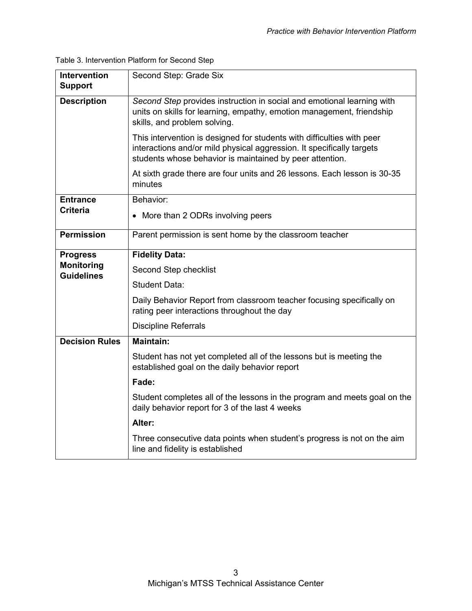| <b>Intervention</b>                    | Second Step: Grade Six                                                                                                                                                                                      |  |  |
|----------------------------------------|-------------------------------------------------------------------------------------------------------------------------------------------------------------------------------------------------------------|--|--|
| <b>Support</b>                         |                                                                                                                                                                                                             |  |  |
| <b>Description</b>                     | Second Step provides instruction in social and emotional learning with<br>units on skills for learning, empathy, emotion management, friendship<br>skills, and problem solving.                             |  |  |
|                                        | This intervention is designed for students with difficulties with peer<br>interactions and/or mild physical aggression. It specifically targets<br>students whose behavior is maintained by peer attention. |  |  |
|                                        | At sixth grade there are four units and 26 lessons. Each lesson is 30-35<br>minutes                                                                                                                         |  |  |
| <b>Entrance</b><br><b>Criteria</b>     | Behavior:                                                                                                                                                                                                   |  |  |
|                                        | • More than 2 ODRs involving peers                                                                                                                                                                          |  |  |
| <b>Permission</b>                      | Parent permission is sent home by the classroom teacher                                                                                                                                                     |  |  |
| <b>Progress</b>                        | <b>Fidelity Data:</b>                                                                                                                                                                                       |  |  |
| <b>Monitoring</b><br><b>Guidelines</b> | Second Step checklist                                                                                                                                                                                       |  |  |
|                                        | <b>Student Data:</b>                                                                                                                                                                                        |  |  |
|                                        | Daily Behavior Report from classroom teacher focusing specifically on<br>rating peer interactions throughout the day                                                                                        |  |  |
|                                        | <b>Discipline Referrals</b>                                                                                                                                                                                 |  |  |
| <b>Decision Rules</b>                  | <b>Maintain:</b>                                                                                                                                                                                            |  |  |
|                                        | Student has not yet completed all of the lessons but is meeting the<br>established goal on the daily behavior report                                                                                        |  |  |
|                                        | Fade:                                                                                                                                                                                                       |  |  |
|                                        | Student completes all of the lessons in the program and meets goal on the<br>daily behavior report for 3 of the last 4 weeks                                                                                |  |  |
|                                        | Alter:                                                                                                                                                                                                      |  |  |
|                                        | Three consecutive data points when student's progress is not on the aim<br>line and fidelity is established                                                                                                 |  |  |

Table 3. Intervention Platform for Second Step